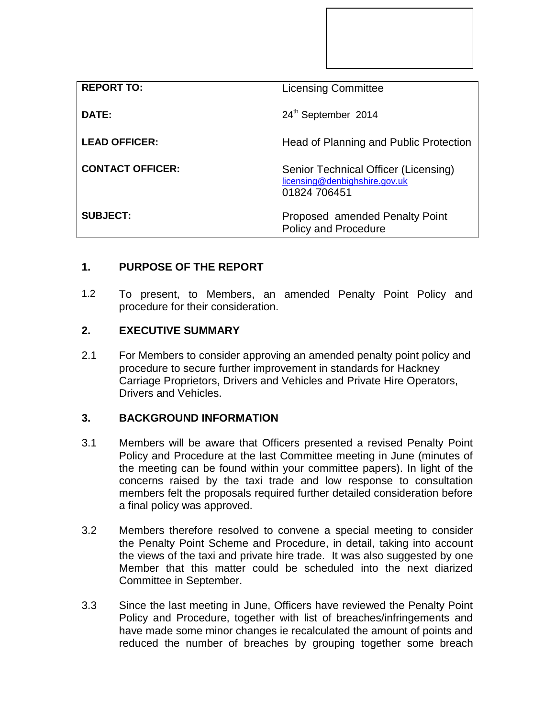| <b>REPORT TO:</b>       | <b>Licensing Committee</b>                                                            |
|-------------------------|---------------------------------------------------------------------------------------|
| DATE:                   | 24th September 2014                                                                   |
| <b>LEAD OFFICER:</b>    | Head of Planning and Public Protection                                                |
| <b>CONTACT OFFICER:</b> | Senior Technical Officer (Licensing)<br>licensing@denbighshire.gov.uk<br>01824 706451 |
| <b>SUBJECT:</b>         | Proposed amended Penalty Point<br><b>Policy and Procedure</b>                         |

# **1. PURPOSE OF THE REPORT**

1.2 To present, to Members, an amended Penalty Point Policy and procedure for their consideration.

# **2. EXECUTIVE SUMMARY**

2.1 For Members to consider approving an amended penalty point policy and procedure to secure further improvement in standards for Hackney Carriage Proprietors, Drivers and Vehicles and Private Hire Operators, Drivers and Vehicles.

# **3. BACKGROUND INFORMATION**

- 3.1 Members will be aware that Officers presented a revised Penalty Point Policy and Procedure at the last Committee meeting in June (minutes of the meeting can be found within your committee papers). In light of the concerns raised by the taxi trade and low response to consultation members felt the proposals required further detailed consideration before a final policy was approved.
- 3.2 Members therefore resolved to convene a special meeting to consider the Penalty Point Scheme and Procedure, in detail, taking into account the views of the taxi and private hire trade. It was also suggested by one Member that this matter could be scheduled into the next diarized Committee in September.
- 3.3 Since the last meeting in June, Officers have reviewed the Penalty Point Policy and Procedure, together with list of breaches/infringements and have made some minor changes ie recalculated the amount of points and reduced the number of breaches by grouping together some breach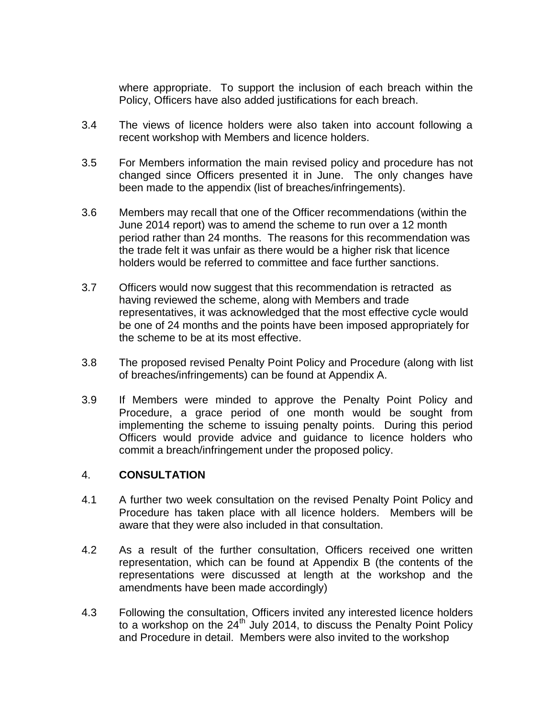where appropriate. To support the inclusion of each breach within the Policy, Officers have also added justifications for each breach.

- 3.4 The views of licence holders were also taken into account following a recent workshop with Members and licence holders.
- 3.5 For Members information the main revised policy and procedure has not changed since Officers presented it in June. The only changes have been made to the appendix (list of breaches/infringements).
- 3.6 Members may recall that one of the Officer recommendations (within the June 2014 report) was to amend the scheme to run over a 12 month period rather than 24 months. The reasons for this recommendation was the trade felt it was unfair as there would be a higher risk that licence holders would be referred to committee and face further sanctions.
- 3.7 Officers would now suggest that this recommendation is retracted as having reviewed the scheme, along with Members and trade representatives, it was acknowledged that the most effective cycle would be one of 24 months and the points have been imposed appropriately for the scheme to be at its most effective.
- 3.8 The proposed revised Penalty Point Policy and Procedure (along with list of breaches/infringements) can be found at Appendix A.
- 3.9 If Members were minded to approve the Penalty Point Policy and Procedure, a grace period of one month would be sought from implementing the scheme to issuing penalty points. During this period Officers would provide advice and guidance to licence holders who commit a breach/infringement under the proposed policy.

# 4. **CONSULTATION**

- 4.1 A further two week consultation on the revised Penalty Point Policy and Procedure has taken place with all licence holders. Members will be aware that they were also included in that consultation.
- 4.2 As a result of the further consultation, Officers received one written representation, which can be found at Appendix B (the contents of the representations were discussed at length at the workshop and the amendments have been made accordingly)
- 4.3 Following the consultation, Officers invited any interested licence holders to a workshop on the  $24<sup>th</sup>$  July 2014, to discuss the Penalty Point Policy and Procedure in detail. Members were also invited to the workshop